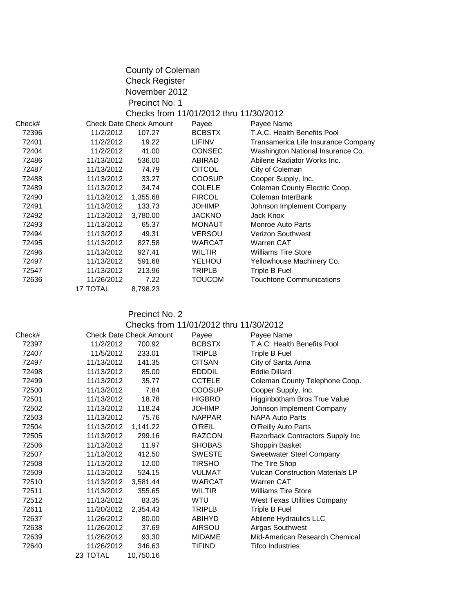|        |            | County of Coleman<br><b>Check Register</b> |                                        |                                     |
|--------|------------|--------------------------------------------|----------------------------------------|-------------------------------------|
|        |            | November 2012                              |                                        |                                     |
|        |            | Precinct No. 1                             |                                        |                                     |
|        |            |                                            |                                        |                                     |
|        |            |                                            | Checks from 11/01/2012 thru 11/30/2012 |                                     |
| Check# |            | <b>Check Date Check Amount</b>             | Payee                                  | Payee Name                          |
| 72396  | 11/2/2012  | 107.27                                     | <b>BCBSTX</b>                          | T.A.C. Health Benefits Pool         |
| 72401  | 11/2/2012  | 19.22                                      | LIFINV                                 | Transamerica Life Insurance Company |
| 72404  | 11/2/2012  | 41.00                                      | <b>CONSEC</b>                          | Washington National Insurance Co.   |
| 72486  | 11/13/2012 | 536.00                                     | ABIRAD                                 | Abilene Radiator Works Inc.         |
| 72487  | 11/13/2012 | 74.79                                      | <b>CITCOL</b>                          | City of Coleman                     |
| 72488  | 11/13/2012 | 33.27                                      | <b>COOSUP</b>                          | Cooper Supply, Inc.                 |
| 72489  | 11/13/2012 | 34.74                                      | <b>COLELE</b>                          | Coleman County Electric Coop.       |
| 72490  | 11/13/2012 | 1,355.68                                   | <b>FIRCOL</b>                          | Coleman InterBank                   |
| 72491  | 11/13/2012 | 133.73                                     | <b>JOHIMP</b>                          | Johnson Implement Company           |
| 72492  | 11/13/2012 | 3,780.00                                   | <b>JACKNO</b>                          | <b>Jack Knox</b>                    |
| 72493  | 11/13/2012 | 65.37                                      | <b>MONAUT</b>                          | Monroe Auto Parts                   |
| 72494  | 11/13/2012 | 49.31                                      | <b>VERSOU</b>                          | <b>Verizon Southwest</b>            |
| 72495  | 11/13/2012 | 827.58                                     | <b>WARCAT</b>                          | Warren CAT                          |
| 72496  | 11/13/2012 | 927.41                                     | <b>WILTIR</b>                          | <b>Williams Tire Store</b>          |
| 72497  | 11/13/2012 | 591.68                                     | YELHOU                                 | Yellowhouse Machinery Co.           |
| 72547  | 11/13/2012 | 213.96                                     | <b>TRIPLB</b>                          | Triple B Fuel                       |
| 72636  | 11/26/2012 | 7.22                                       | <b>TOUCOM</b>                          | <b>Touchtone Communications</b>     |
|        | 17 TOTAL   | 8,798.23                                   |                                        |                                     |
|        |            |                                            |                                        |                                     |

# Precinct No. 2

# Checks from 11/01/2012 thru 11/30/2012

| Check# |            | <b>Check Date Check Amount</b> | Payee         | Payee Name                              |
|--------|------------|--------------------------------|---------------|-----------------------------------------|
| 72397  | 11/2/2012  | 700.92                         | <b>BCBSTX</b> | T.A.C. Health Benefits Pool             |
| 72407  | 11/5/2012  | 233.01                         | <b>TRIPLB</b> | Triple B Fuel                           |
| 72497  | 11/13/2012 | 141.35                         | <b>CITSAN</b> | City of Santa Anna                      |
| 72498  | 11/13/2012 | 85.00                          | <b>EDDDIL</b> | Eddie Dillard                           |
| 72499  | 11/13/2012 | 35.77                          | <b>CCTELE</b> | Coleman County Telephone Coop.          |
| 72500  | 11/13/2012 | 7.84                           | <b>COOSUP</b> | Cooper Supply, Inc.                     |
| 72501  | 11/13/2012 | 18.78                          | <b>HIGBRO</b> | Higginbotham Bros True Value            |
| 72502  | 11/13/2012 | 118.24                         | <b>JOHIMP</b> | Johnson Implement Company               |
| 72503  | 11/13/2012 | 75.76                          | <b>NAPPAR</b> | <b>NAPA Auto Parts</b>                  |
| 72504  | 11/13/2012 | 1,141.22                       | <b>O'REIL</b> | O'Reilly Auto Parts                     |
| 72505  | 11/13/2012 | 299.16                         | <b>RAZCON</b> | Razorback Contractors Supply Inc        |
| 72506  | 11/13/2012 | 11.97                          | <b>SHOBAS</b> | Shoppin Basket                          |
| 72507  | 11/13/2012 | 412.50                         | <b>SWESTE</b> | <b>Sweetwater Steel Company</b>         |
| 72508  | 11/13/2012 | 12.00                          | <b>TIRSHO</b> | The Tire Shop                           |
| 72509  | 11/13/2012 | 524.15                         | <b>VULMAT</b> | <b>Vulcan Construction Materials LP</b> |
| 72510  | 11/13/2012 | 3,581.44                       | <b>WARCAT</b> | Warren CAT                              |
| 72511  | 11/13/2012 | 355.65                         | <b>WILTIR</b> | <b>Williams Tire Store</b>              |
| 72512  | 11/13/2012 | 83.35                          | WTU           | <b>West Texas Utilities Company</b>     |
| 72611  | 11/20/2012 | 2,354.43                       | <b>TRIPLB</b> | Triple B Fuel                           |
| 72637  | 11/26/2012 | 80.00                          | <b>ABIHYD</b> | Abilene Hydraulics LLC                  |
| 72638  | 11/26/2012 | 37.69                          | <b>AIRSOU</b> | Airgas Southwest                        |
| 72639  | 11/26/2012 | 93.30                          | <b>MIDAME</b> | Mid-American Research Chemical          |
| 72640  | 11/26/2012 | 346.63                         | <b>TIFIND</b> | <b>Tifco Industries</b>                 |
|        | 23 TOTAL   | 10,750.16                      |               |                                         |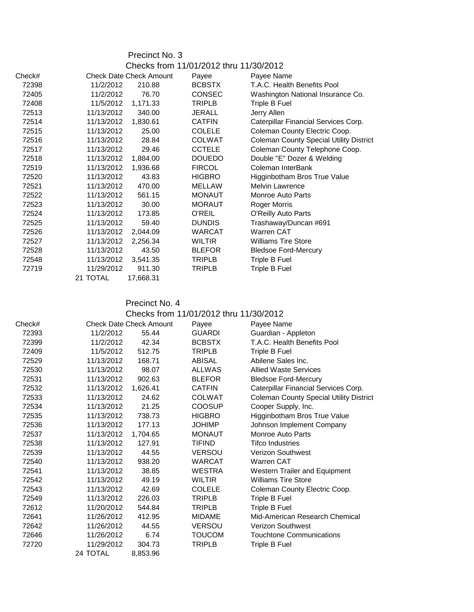| Precinct No. 3 |  |  |
|----------------|--|--|
|----------------|--|--|

|        |            |                                | Checks from 11/01/2012 thru 11/30/2012 |                                                |
|--------|------------|--------------------------------|----------------------------------------|------------------------------------------------|
| Check# |            | <b>Check Date Check Amount</b> | Payee                                  | Payee Name                                     |
| 72398  | 11/2/2012  | 210.88                         | <b>BCBSTX</b>                          | T.A.C. Health Benefits Pool                    |
| 72405  | 11/2/2012  | 76.70                          | <b>CONSEC</b>                          | Washington National Insurance Co.              |
| 72408  | 11/5/2012  | 1,171.33                       | <b>TRIPLB</b>                          | Triple B Fuel                                  |
| 72513  | 11/13/2012 | 340.00                         | <b>JERALL</b>                          | Jerry Allen                                    |
| 72514  | 11/13/2012 | 1,830.61                       | <b>CATFIN</b>                          | Caterpillar Financial Services Corp.           |
| 72515  | 11/13/2012 | 25.00                          | <b>COLELE</b>                          | Coleman County Electric Coop.                  |
| 72516  | 11/13/2012 | 28.84                          | <b>COLWAT</b>                          | <b>Coleman County Special Utility District</b> |
| 72517  | 11/13/2012 | 29.46                          | <b>CCTELE</b>                          | Coleman County Telephone Coop.                 |
| 72518  | 11/13/2012 | 1,884.00                       | <b>DOUEDO</b>                          | Double "E" Dozer & Welding                     |
| 72519  | 11/13/2012 | 1,936.68                       | <b>FIRCOL</b>                          | Coleman InterBank                              |
| 72520  | 11/13/2012 | 43.83                          | <b>HIGBRO</b>                          | Higginbotham Bros True Value                   |
| 72521  | 11/13/2012 | 470.00                         | <b>MELLAW</b>                          | Melvin Lawrence                                |
| 72522  | 11/13/2012 | 561.15                         | <b>MONAUT</b>                          | Monroe Auto Parts                              |
| 72523  | 11/13/2012 | 30.00                          | <b>MORAUT</b>                          | Roger Morris                                   |
| 72524  | 11/13/2012 | 173.85                         | O'REIL                                 | <b>O'Reilly Auto Parts</b>                     |
| 72525  | 11/13/2012 | 59.40                          | <b>DUNDIS</b>                          | Trashaway/Duncan #691                          |
| 72526  | 11/13/2012 | 2,044.09                       | <b>WARCAT</b>                          | Warren CAT                                     |
| 72527  | 11/13/2012 | 2,256.34                       | <b>WILTIR</b>                          | <b>Williams Tire Store</b>                     |
| 72528  | 11/13/2012 | 43.50                          | <b>BLEFOR</b>                          | <b>Bledsoe Ford-Mercury</b>                    |
| 72548  | 11/13/2012 | 3,541.35                       | <b>TRIPLB</b>                          | Triple B Fuel                                  |
| 72719  | 11/29/2012 | 911.30                         | TRIPLB                                 | Triple B Fuel                                  |
|        | 21 TOTAL   | 17,668.31                      |                                        |                                                |

### Precinct No. 4 Checks from 11/01/2012 thru 11/30/2012

| Check# |            | <b>Check Date Check Amount</b> | Payee         | Payee Name                                     |
|--------|------------|--------------------------------|---------------|------------------------------------------------|
| 72393  | 11/2/2012  | 55.44                          | <b>GUARDI</b> | Guardian - Appleton                            |
| 72399  | 11/2/2012  | 42.34                          | <b>BCBSTX</b> | T.A.C. Health Benefits Pool                    |
| 72409  | 11/5/2012  | 512.75                         | TRIPLB        | Triple B Fuel                                  |
| 72529  | 11/13/2012 | 168.71                         | ABISAL        | Abilene Sales Inc.                             |
| 72530  | 11/13/2012 | 98.07                          | <b>ALLWAS</b> | <b>Allied Waste Services</b>                   |
| 72531  | 11/13/2012 | 902.63                         | <b>BLEFOR</b> | <b>Bledsoe Ford-Mercury</b>                    |
| 72532  | 11/13/2012 | 1,626.41                       | <b>CATFIN</b> | Caterpillar Financial Services Corp.           |
| 72533  | 11/13/2012 | 24.62                          | <b>COLWAT</b> | <b>Coleman County Special Utility District</b> |
| 72534  | 11/13/2012 | 21.25                          | <b>COOSUP</b> | Cooper Supply, Inc.                            |
| 72535  | 11/13/2012 | 738.73                         | <b>HIGBRO</b> | Higginbotham Bros True Value                   |
| 72536  | 11/13/2012 | 177.13                         | <b>JOHIMP</b> | Johnson Implement Company                      |
| 72537  | 11/13/2012 | 1,704.65                       | <b>MONAUT</b> | <b>Monroe Auto Parts</b>                       |
| 72538  | 11/13/2012 | 127.91                         | <b>TIFIND</b> | <b>Tifco Industries</b>                        |
| 72539  | 11/13/2012 | 44.55                          | <b>VERSOU</b> | <b>Verizon Southwest</b>                       |
| 72540  | 11/13/2012 | 938.20                         | <b>WARCAT</b> | <b>Warren CAT</b>                              |
| 72541  | 11/13/2012 | 38.85                          | <b>WESTRA</b> | Western Trailer and Equipment                  |
| 72542  | 11/13/2012 | 49.19                          | <b>WILTIR</b> | <b>Williams Tire Store</b>                     |
| 72543  | 11/13/2012 | 42.69                          | <b>COLELE</b> | Coleman County Electric Coop.                  |
| 72549  | 11/13/2012 | 226.03                         | <b>TRIPLB</b> | Triple B Fuel                                  |
| 72612  | 11/20/2012 | 544.84                         | <b>TRIPLB</b> | Triple B Fuel                                  |
| 72641  | 11/26/2012 | 412.95                         | <b>MIDAME</b> | Mid-American Research Chemical                 |
| 72642  | 11/26/2012 | 44.55                          | <b>VERSOU</b> | <b>Verizon Southwest</b>                       |
| 72646  | 11/26/2012 | 6.74                           | <b>TOUCOM</b> | <b>Touchtone Communications</b>                |
| 72720  | 11/29/2012 | 304.73                         | <b>TRIPLB</b> | Triple B Fuel                                  |
|        | 24 TOTAL   | 8,853.96                       |               |                                                |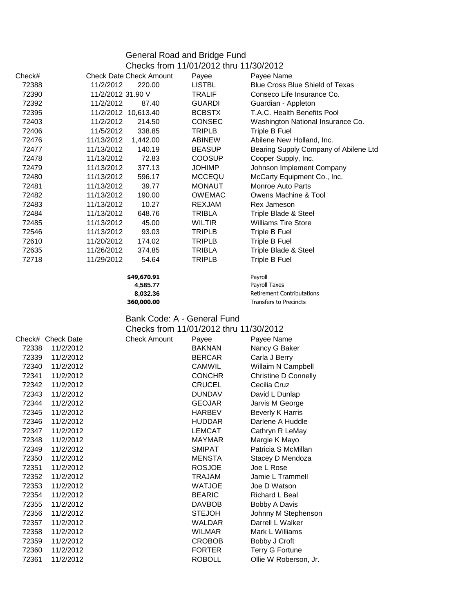## General Road and Bridge Fund

|        |                                | Checks from 11/01/2012 thru 11/30/2012 |                                        |
|--------|--------------------------------|----------------------------------------|----------------------------------------|
| Check# | <b>Check Date Check Amount</b> | Payee                                  | Payee Name                             |
| 72388  | 11/2/2012<br>220.00            | <b>LISTBL</b>                          | <b>Blue Cross Blue Shield of Texas</b> |
| 72390  | 11/2/2012 31.90 V              | TRALIF                                 | Conseco Life Insurance Co.             |
| 72392  | 11/2/2012<br>87.40             | <b>GUARDI</b>                          | Guardian - Appleton                    |
| 72395  | 11/2/2012 10,613.40            | <b>BCBSTX</b>                          | T.A.C. Health Benefits Pool            |
| 72403  | 11/2/2012<br>214.50            | <b>CONSEC</b>                          | Washington National Insurance Co.      |
| 72406  | 11/5/2012<br>338.85            | TRIPLB                                 | Triple B Fuel                          |
| 72476  | 11/13/2012<br>1,442.00         | <b>ABINEW</b>                          | Abilene New Holland, Inc.              |
| 72477  | 11/13/2012<br>140.19           | <b>BEASUP</b>                          | Bearing Supply Company of Abilene Ltd  |
| 72478  | 11/13/2012<br>72.83            | <b>COOSUP</b>                          | Cooper Supply, Inc.                    |
| 72479  | 11/13/2012<br>377.13           | <b>JOHIMP</b>                          | Johnson Implement Company              |
| 72480  | 11/13/2012<br>596.17           | <b>MCCEQU</b>                          | McCarty Equipment Co., Inc.            |
| 72481  | 11/13/2012<br>39.77            | <b>MONAUT</b>                          | <b>Monroe Auto Parts</b>               |
| 72482  | 11/13/2012<br>190.00           | <b>OWEMAC</b>                          | Owens Machine & Tool                   |
| 72483  | 11/13/2012<br>10.27            | <b>REXJAM</b>                          | Rex Jameson                            |
| 72484  | 11/13/2012<br>648.76           | TRIBLA                                 | Triple Blade & Steel                   |
| 72485  | 11/13/2012<br>45.00            | WILTIR                                 | <b>Williams Tire Store</b>             |
| 72546  | 11/13/2012<br>93.03            | TRIPLB                                 | Triple B Fuel                          |
| 72610  | 11/20/2012<br>174.02           | TRIPLB                                 | Triple B Fuel                          |
| 72635  | 11/26/2012<br>374.85           | TRIBLA                                 | Triple Blade & Steel                   |
| 72718  | 11/29/2012<br>54.64            | TRIPLB                                 | Triple B Fuel                          |
|        |                                |                                        |                                        |

**\$49,670.91** Payroll **4,585.77** Payroll Taxes<br> **8,032.36** Retirement Co **8,032.36** Retirement Contributations<br>**360,000.00** Transfers to Precincts **360,000.00** Transfers to Precincts

### Bank Code: A - General Fund

#### Checks from 11/01/2012 thru 11/30/2012

|       | Check# Check Date | <b>Check Amount</b> | Payee         | Payee Name                  |
|-------|-------------------|---------------------|---------------|-----------------------------|
| 72338 | 11/2/2012         |                     | <b>BAKNAN</b> | Nancy G Baker               |
| 72339 | 11/2/2012         |                     | <b>BERCAR</b> | Carla J Berry               |
| 72340 | 11/2/2012         |                     | <b>CAMWIL</b> | Willaim N Campbell          |
| 72341 | 11/2/2012         |                     | <b>CONCHR</b> | <b>Christine D Connelly</b> |
| 72342 | 11/2/2012         |                     | <b>CRUCEL</b> | Cecilia Cruz                |
| 72343 | 11/2/2012         |                     | <b>DUNDAV</b> | David L Dunlap              |
| 72344 | 11/2/2012         |                     | <b>GEOJAR</b> | Jarvis M George             |
| 72345 | 11/2/2012         |                     | <b>HARBEV</b> | <b>Beverly K Harris</b>     |
| 72346 | 11/2/2012         |                     | <b>HUDDAR</b> | Darlene A Huddle            |
| 72347 | 11/2/2012         |                     | <b>LEMCAT</b> | Cathryn R LeMay             |
| 72348 | 11/2/2012         |                     | <b>MAYMAR</b> | Margie K Mayo               |
| 72349 | 11/2/2012         |                     | <b>SMIPAT</b> | Patricia S McMillan         |
| 72350 | 11/2/2012         |                     | <b>MENSTA</b> | Stacey D Mendoza            |
| 72351 | 11/2/2012         |                     | <b>ROSJOE</b> | Joe L Rose                  |
| 72352 | 11/2/2012         |                     | TRAJAM        | Jamie L Trammell            |
| 72353 | 11/2/2012         |                     | <b>WATJOE</b> | Joe D Watson                |
| 72354 | 11/2/2012         |                     | <b>BEARIC</b> | Richard L Beal              |
| 72355 | 11/2/2012         |                     | <b>DAVBOB</b> | Bobby A Davis               |
| 72356 | 11/2/2012         |                     | <b>STEJOH</b> | Johnny M Stephenson         |
| 72357 | 11/2/2012         |                     | <b>WALDAR</b> | Darrell L Walker            |
| 72358 | 11/2/2012         |                     | <b>WILMAR</b> | Mark L Williams             |
| 72359 | 11/2/2012         |                     | <b>CROBOB</b> | Bobby J Croft               |
| 72360 | 11/2/2012         |                     | <b>FORTER</b> | Terry G Fortune             |
| 72361 | 11/2/2012         |                     | <b>ROBOLL</b> | Ollie W Roberson, Jr.       |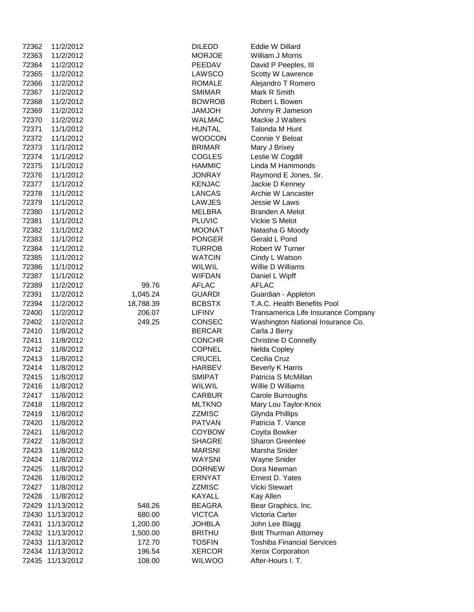| 72362 | 11/2/2012        |           | <b>DILEDD</b> | Eddie W Dillard                     |
|-------|------------------|-----------|---------------|-------------------------------------|
| 72363 | 11/2/2012        |           | <b>MORJOE</b> | William J Morris                    |
| 72364 | 11/2/2012        |           | PEEDAV        | David P Peeples, III                |
| 72365 | 11/2/2012        |           | LAWSCO        | Scotty W Lawrence                   |
| 72366 | 11/2/2012        |           | <b>ROMALE</b> | Alejandro T Romero                  |
| 72367 | 11/2/2012        |           | <b>SMIMAR</b> | Mark R Smith                        |
| 72368 | 11/2/2012        |           | <b>BOWROB</b> | Robert L Bowen                      |
|       | 11/2/2012        |           | <b>HOLMAL</b> |                                     |
| 72369 |                  |           |               | Johnny R Jameson                    |
| 72370 | 11/2/2012        |           | <b>WALMAC</b> | Mackie J Walters                    |
| 72371 | 11/1/2012        |           | <b>HUNTAL</b> | Talonda M Hunt                      |
| 72372 | 11/1/2012        |           | <b>WOOCON</b> | Connie Y Beloat                     |
| 72373 | 11/1/2012        |           | <b>BRIMAR</b> | Mary J Brixey                       |
| 72374 | 11/1/2012        |           | <b>COGLES</b> | Leslie W Cogdill                    |
| 72375 | 11/1/2012        |           | <b>HAMMIC</b> | Linda M Hammonds                    |
| 72376 | 11/1/2012        |           | <b>JONRAY</b> | Raymond E Jones, Sr.                |
| 72377 | 11/1/2012        |           | <b>KENJAC</b> | Jackie D Kenney                     |
| 72378 | 11/1/2012        |           | <b>LANCAS</b> | Archie W Lancaster                  |
| 72379 | 11/1/2012        |           | <b>LAWJES</b> | Jessie W Laws                       |
| 72380 | 11/1/2012        |           | <b>MELBRA</b> | <b>Branden A Melot</b>              |
| 72381 | 11/1/2012        |           | <b>PLUVIC</b> | Vickie S Melot                      |
| 72382 | 11/1/2012        |           | <b>MOONAT</b> | Natasha G Moody                     |
| 72383 | 11/1/2012        |           | <b>PONGER</b> | Gerald L Pond                       |
| 72384 | 11/1/2012        |           | <b>TURROB</b> | Robert W Turner                     |
| 72385 | 11/1/2012        |           | <b>WATCIN</b> | Cindy L Watson                      |
| 72386 | 11/1/2012        |           | <b>WILWIL</b> | Willie D Williams                   |
| 72387 | 11/1/2012        |           | <b>WIFDAN</b> | Daniel L Wipff                      |
|       |                  |           |               |                                     |
| 72389 | 11/2/2012        | 99.76     | <b>AFLAC</b>  | <b>AFLAC</b>                        |
| 72391 | 11/2/2012        | 1,045.24  | <b>GUARDI</b> | Guardian - Appleton                 |
| 72394 | 11/2/2012        | 18,788.39 | <b>BCBSTX</b> | T.A.C. Health Benefits Pool         |
| 72400 | 11/2/2012        | 206.07    | <b>LIFINV</b> | Transamerica Life Insurance Company |
| 72402 | 11/2/2012        | 249.25    | CONSEC        | Washington National Insurance Co.   |
| 72410 | 11/8/2012        |           | <b>BERCAR</b> | Carla J Berry                       |
| 72411 | 11/8/2012        |           | <b>CONCHR</b> | <b>Christine D Connelly</b>         |
| 72412 | 11/8/2012        |           | <b>COPNEL</b> | Nelda Copley                        |
| 72413 | 11/8/2012        |           | <b>CRUCEL</b> | Cecilia Cruz                        |
| 72414 | 11/8/2012        |           | <b>HARBEV</b> | <b>Beverly K Harris</b>             |
| 72415 | 11/8/2012        |           | <b>SMIPAT</b> | Patricia S McMillan                 |
| 72416 | 11/8/2012        |           | <b>WILWIL</b> | Willie D Williams                   |
| 72417 | 11/8/2012        |           | <b>CARBUR</b> | Carole Burroughs                    |
| 72418 | 11/8/2012        |           | <b>MLTKNO</b> | Mary Lou Taylor-Knox                |
| 72419 | 11/8/2012        |           | <b>ZZMISC</b> | <b>Glynda Phillips</b>              |
| 72420 | 11/8/2012        |           | <b>PATVAN</b> | Patricia T. Vance                   |
| 72421 | 11/8/2012        |           | <b>COYBOW</b> | Coyita Bowker                       |
| 72422 | 11/8/2012        |           | <b>SHAGRE</b> | <b>Sharon Greenlee</b>              |
| 72423 | 11/8/2012        |           | <b>MARSNI</b> | Marsha Snider                       |
| 72424 | 11/8/2012        |           | <b>WAYSNI</b> | Wayne Snider                        |
| 72425 | 11/8/2012        |           | <b>DORNEW</b> | Dora Newman                         |
| 72426 | 11/8/2012        |           | <b>ERNYAT</b> | Ernest D. Yates                     |
| 72427 | 11/8/2012        |           | <b>ZZMISC</b> | <b>Vicki Stewart</b>                |
|       |                  |           |               |                                     |
| 72428 | 11/8/2012        |           | <b>KAYALL</b> | Kay Allen                           |
| 72429 | 11/13/2012       | 548.26    | <b>BEAGRA</b> | Bear Graphics, Inc.                 |
| 72430 | 11/13/2012       | 680.00    | <b>VICTCA</b> | Victoria Carter                     |
| 72431 | 11/13/2012       | 1,200.00  | <b>JOHBLA</b> | John Lee Blagg                      |
|       | 72432 11/13/2012 | 1,500.00  | <b>BRITHU</b> | <b>Britt Thurman Attorney</b>       |
|       | 72433 11/13/2012 | 172.70    | <b>TOSFIN</b> | <b>Toshiba Financial Services</b>   |
|       | 72434 11/13/2012 | 196.54    | <b>XERCOR</b> | <b>Xerox Corporation</b>            |
|       | 72435 11/13/2012 | 108.00    | <b>WILWOO</b> | After-Hours I. T.                   |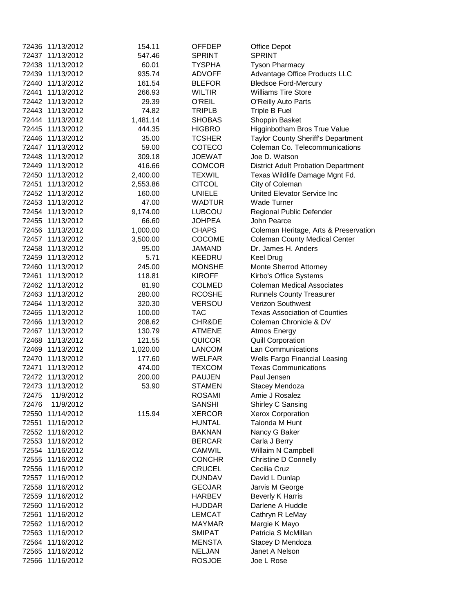|       | 72436 11/13/2012 | 154.11   | OFFDEP                        | <b>Office Depot</b>                        |
|-------|------------------|----------|-------------------------------|--------------------------------------------|
|       | 72437 11/13/2012 | 547.46   | <b>SPRINT</b>                 | <b>SPRINT</b>                              |
|       | 72438 11/13/2012 | 60.01    | <b>TYSPHA</b>                 | <b>Tyson Pharmacy</b>                      |
|       | 72439 11/13/2012 | 935.74   | <b>ADVOFF</b>                 | Advantage Office Products LLC              |
|       | 72440 11/13/2012 | 161.54   | <b>BLEFOR</b>                 | <b>Bledsoe Ford-Mercury</b>                |
| 72441 | 11/13/2012       | 266.93   | <b>WILTIR</b>                 | <b>Williams Tire Store</b>                 |
|       | 72442 11/13/2012 | 29.39    | O'REIL                        | O'Reilly Auto Parts                        |
|       | 72443 11/13/2012 | 74.82    | <b>TRIPLB</b>                 | Triple B Fuel                              |
|       | 72444 11/13/2012 | 1,481.14 | <b>SHOBAS</b>                 | Shoppin Basket                             |
|       | 72445 11/13/2012 | 444.35   | <b>HIGBRO</b>                 | Higginbotham Bros True Value               |
|       | 72446 11/13/2012 | 35.00    | <b>TCSHER</b>                 | <b>Taylor County Sheriff's Department</b>  |
|       | 72447 11/13/2012 | 59.00    | <b>COTECO</b>                 | Coleman Co. Telecommunications             |
|       | 72448 11/13/2012 | 309.18   | <b>JOEWAT</b>                 | Joe D. Watson                              |
|       | 72449 11/13/2012 | 416.66   | <b>COMCOR</b>                 | <b>District Adult Probation Department</b> |
|       | 72450 11/13/2012 | 2,400.00 | <b>TEXWIL</b>                 | Texas Wildlife Damage Mgnt Fd.             |
|       | 72451 11/13/2012 | 2,553.86 | <b>CITCOL</b>                 | City of Coleman                            |
|       | 72452 11/13/2012 | 160.00   | <b>UNIELE</b>                 | United Elevator Service Inc                |
|       | 72453 11/13/2012 | 47.00    | <b>WADTUR</b>                 | <b>Wade Turner</b>                         |
|       | 72454 11/13/2012 | 9,174.00 | <b>LUBCOU</b>                 | Regional Public Defender                   |
|       | 72455 11/13/2012 | 66.60    |                               | John Pearce                                |
|       | 72456 11/13/2012 |          | <b>JOHPEA</b><br><b>CHAPS</b> |                                            |
|       |                  | 1,000.00 |                               | Coleman Heritage, Arts & Preservation      |
|       | 72457 11/13/2012 | 3,500.00 | <b>COCOME</b>                 | <b>Coleman County Medical Center</b>       |
|       | 72458 11/13/2012 | 95.00    | <b>JAMAND</b>                 | Dr. James H. Anders                        |
|       | 72459 11/13/2012 | 5.71     | <b>KEEDRU</b>                 | <b>Keel Drug</b>                           |
|       | 72460 11/13/2012 | 245.00   | <b>MONSHE</b>                 | Monte Sherrod Attorney                     |
|       | 72461 11/13/2012 | 118.81   | <b>KIROFF</b>                 | Kirbo's Office Systems                     |
|       | 72462 11/13/2012 | 81.90    | <b>COLMED</b>                 | <b>Coleman Medical Associates</b>          |
|       | 72463 11/13/2012 | 280.00   | <b>RCOSHE</b>                 | <b>Runnels County Treasurer</b>            |
|       | 72464 11/13/2012 | 320.30   | <b>VERSOU</b>                 | Verizon Southwest                          |
|       | 72465 11/13/2012 | 100.00   | <b>TAC</b>                    | <b>Texas Association of Counties</b>       |
|       | 72466 11/13/2012 | 208.62   | CHR&DE                        | Coleman Chronicle & DV                     |
|       | 72467 11/13/2012 | 130.79   | <b>ATMENE</b>                 | <b>Atmos Energy</b>                        |
|       | 72468 11/13/2012 | 121.55   | <b>QUICOR</b>                 | <b>Quill Corporation</b>                   |
|       | 72469 11/13/2012 | 1,020.00 | <b>LANCOM</b>                 | Lan Communications                         |
|       | 72470 11/13/2012 | 177.60   | <b>WELFAR</b>                 | <b>Wells Fargo Financial Leasing</b>       |
|       | 72471 11/13/2012 | 474.00   | TEXCOM                        | <b>Texas Communications</b>                |
|       | 72472 11/13/2012 | 200.00   | <b>PAUJEN</b>                 | Paul Jensen                                |
|       | 72473 11/13/2012 | 53.90    | <b>STAMEN</b>                 | Stacey Mendoza                             |
| 72475 | 11/9/2012        |          | <b>ROSAMI</b>                 | Amie J Rosalez                             |
| 72476 | 11/9/2012        |          | <b>SANSHI</b>                 | Shirley C Sansing                          |
|       | 72550 11/14/2012 | 115.94   | <b>XERCOR</b>                 | <b>Xerox Corporation</b>                   |
| 72551 | 11/16/2012       |          | <b>HUNTAL</b>                 | Talonda M Hunt                             |
|       | 72552 11/16/2012 |          | <b>BAKNAN</b>                 | Nancy G Baker                              |
|       | 72553 11/16/2012 |          | <b>BERCAR</b>                 | Carla J Berry                              |
|       | 72554 11/16/2012 |          | CAMWIL                        | Willaim N Campbell                         |
|       | 72555 11/16/2012 |          | <b>CONCHR</b>                 | <b>Christine D Connelly</b>                |
|       | 72556 11/16/2012 |          | <b>CRUCEL</b>                 | Cecilia Cruz                               |
|       | 72557 11/16/2012 |          | <b>DUNDAV</b>                 | David L Dunlap                             |
|       | 72558 11/16/2012 |          | <b>GEOJAR</b>                 | Jarvis M George                            |
|       | 72559 11/16/2012 |          | <b>HARBEV</b>                 | <b>Beverly K Harris</b>                    |
|       | 72560 11/16/2012 |          | <b>HUDDAR</b>                 | Darlene A Huddle                           |
| 72561 | 11/16/2012       |          | <b>LEMCAT</b>                 | Cathryn R LeMay                            |
|       | 72562 11/16/2012 |          | <b>MAYMAR</b>                 | Margie K Mayo                              |
|       | 72563 11/16/2012 |          | <b>SMIPAT</b>                 | Patricia S McMillan                        |
|       | 72564 11/16/2012 |          | <b>MENSTA</b>                 | Stacey D Mendoza                           |
|       | 72565 11/16/2012 |          | <b>NELJAN</b>                 | Janet A Nelson                             |
|       | 72566 11/16/2012 |          | <b>ROSJOE</b>                 | Joe L Rose                                 |
|       |                  |          |                               |                                            |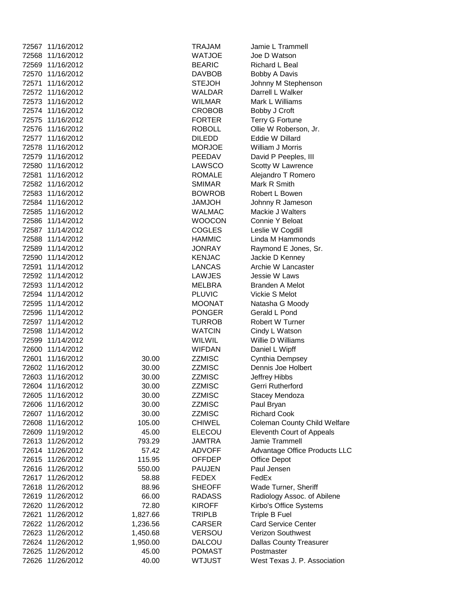|       | 72567 11/16/2012 |          | TRAJAM        | Jamie L Trammell                    |
|-------|------------------|----------|---------------|-------------------------------------|
| 72568 | 11/16/2012       |          | <b>WATJOE</b> | Joe D Watson                        |
| 72569 | 11/16/2012       |          | <b>BEARIC</b> | Richard L Beal                      |
| 72570 | 11/16/2012       |          | <b>DAVBOB</b> | Bobby A Davis                       |
| 72571 | 11/16/2012       |          | <b>STEJOH</b> | Johnny M Stephenson                 |
|       | 72572 11/16/2012 |          | <b>WALDAR</b> | Darrell L Walker                    |
|       | 72573 11/16/2012 |          | <b>WILMAR</b> | Mark L Williams                     |
|       | 72574 11/16/2012 |          | <b>CROBOB</b> | Bobby J Croft                       |
|       | 72575 11/16/2012 |          | <b>FORTER</b> | <b>Terry G Fortune</b>              |
| 72576 | 11/16/2012       |          | <b>ROBOLL</b> | Ollie W Roberson, Jr.               |
|       | 72577 11/16/2012 |          | <b>DILEDD</b> | Eddie W Dillard                     |
|       | 72578 11/16/2012 |          | <b>MORJOE</b> | William J Morris                    |
|       | 72579 11/16/2012 |          | PEEDAV        | David P Peeples, III                |
|       | 72580 11/16/2012 |          | LAWSCO        | Scotty W Lawrence                   |
| 72581 | 11/16/2012       |          | <b>ROMALE</b> | Alejandro T Romero                  |
|       | 72582 11/16/2012 |          | <b>SMIMAR</b> | Mark R Smith                        |
|       | 72583 11/16/2012 |          | <b>BOWROB</b> | Robert L Bowen                      |
|       | 72584 11/16/2012 |          | <b>HOLMAL</b> | Johnny R Jameson                    |
| 72585 | 11/16/2012       |          | <b>WALMAC</b> | Mackie J Walters                    |
|       | 72586 11/14/2012 |          | <b>WOOCON</b> | Connie Y Beloat                     |
|       | 72587 11/14/2012 |          | <b>COGLES</b> | Leslie W Cogdill                    |
|       | 72588 11/14/2012 |          | <b>HAMMIC</b> | Linda M Hammonds                    |
|       | 72589 11/14/2012 |          | <b>JONRAY</b> | Raymond E Jones, Sr.                |
|       | 72590 11/14/2012 |          | <b>KENJAC</b> | Jackie D Kenney                     |
|       | 72591 11/14/2012 |          | LANCAS        | Archie W Lancaster                  |
|       | 72592 11/14/2012 |          | LAWJES        | Jessie W Laws                       |
|       | 72593 11/14/2012 |          | <b>MELBRA</b> | <b>Branden A Melot</b>              |
|       | 72594 11/14/2012 |          | <b>PLUVIC</b> | Vickie S Melot                      |
|       | 72595 11/14/2012 |          | <b>MOONAT</b> |                                     |
|       |                  |          |               | Natasha G Moody                     |
|       | 72596 11/14/2012 |          | <b>PONGER</b> | Gerald L Pond                       |
|       | 72597 11/14/2012 |          | <b>TURROB</b> | Robert W Turner                     |
| 72598 | 11/14/2012       |          | <b>WATCIN</b> | Cindy L Watson                      |
|       | 72599 11/14/2012 |          | <b>WILWIL</b> | Willie D Williams                   |
| 72600 | 11/14/2012       |          | <b>WIFDAN</b> | Daniel L Wipff                      |
| 72601 | 11/16/2012       | 30.00    | <b>ZZMISC</b> | Cynthia Dempsey                     |
|       | 72602 11/16/2012 | 30.00    | <b>ZZMISC</b> | Dennis Joe Holbert                  |
| 72603 | 11/16/2012       | 30.00    | <b>ZZMISC</b> | Jeffrey Hibbs                       |
| 72604 | 11/16/2012       | 30.00    | <b>ZZMISC</b> | Gerri Rutherford                    |
| 72605 | 11/16/2012       | 30.00    | <b>ZZMISC</b> | Stacey Mendoza                      |
| 72606 | 11/16/2012       | 30.00    | <b>ZZMISC</b> | Paul Bryan                          |
| 72607 | 11/16/2012       | 30.00    | <b>ZZMISC</b> | <b>Richard Cook</b>                 |
| 72608 | 11/16/2012       | 105.00   | <b>CHIWEL</b> | <b>Coleman County Child Welfare</b> |
| 72609 | 11/19/2012       | 45.00    | <b>ELECOU</b> | Eleventh Court of Appeals           |
| 72613 | 11/26/2012       | 793.29   | <b>JAMTRA</b> | Jamie Trammell                      |
|       | 72614 11/26/2012 | 57.42    | <b>ADVOFF</b> | Advantage Office Products LLC       |
| 72615 | 11/26/2012       | 115.95   | OFFDEP        | <b>Office Depot</b>                 |
| 72616 | 11/26/2012       | 550.00   | <b>PAUJEN</b> | Paul Jensen                         |
| 72617 | 11/26/2012       | 58.88    | FEDEX         | FedEx                               |
| 72618 | 11/26/2012       | 88.96    | <b>SHEOFF</b> | Wade Turner, Sheriff                |
| 72619 | 11/26/2012       | 66.00    | <b>RADASS</b> | Radiology Assoc. of Abilene         |
| 72620 | 11/26/2012       | 72.80    | <b>KIROFF</b> | Kirbo's Office Systems              |
| 72621 | 11/26/2012       | 1,827.66 | <b>TRIPLB</b> | <b>Triple B Fuel</b>                |
| 72622 | 11/26/2012       | 1,236.56 | <b>CARSER</b> | <b>Card Service Center</b>          |
| 72623 | 11/26/2012       | 1,450.68 | <b>VERSOU</b> | Verizon Southwest                   |
| 72624 | 11/26/2012       | 1,950.00 | DALCOU        | <b>Dallas County Treasurer</b>      |
| 72625 | 11/26/2012       | 45.00    | <b>POMAST</b> | Postmaster                          |
| 72626 | 11/26/2012       | 40.00    | <b>WTJUST</b> | West Texas J. P. Association        |
|       |                  |          |               |                                     |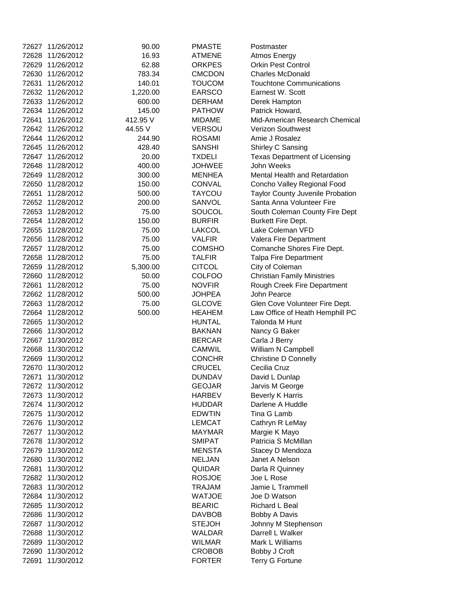|       | 72627 11/26/2012 | 90.00    | <b>PMASTE</b> | Postmaster                              |
|-------|------------------|----------|---------------|-----------------------------------------|
| 72628 | 11/26/2012       | 16.93    | <b>ATMENE</b> | <b>Atmos Energy</b>                     |
| 72629 | 11/26/2012       | 62.88    | <b>ORKPES</b> | <b>Orkin Pest Control</b>               |
| 72630 | 11/26/2012       | 783.34   | <b>CMCDON</b> | <b>Charles McDonald</b>                 |
| 72631 | 11/26/2012       | 140.01   | <b>TOUCOM</b> | <b>Touchtone Communications</b>         |
|       | 72632 11/26/2012 | 1,220.00 | <b>EARSCO</b> | Earnest W. Scott                        |
| 72633 | 11/26/2012       | 600.00   | <b>DERHAM</b> | Derek Hampton                           |
|       | 72634 11/26/2012 | 145.00   | <b>PATHOW</b> | Patrick Howard,                         |
| 72641 | 11/26/2012       | 412.95 V | <b>MIDAME</b> | Mid-American Research Chemical          |
|       | 72642 11/26/2012 | 44.55 V  | <b>VERSOU</b> | <b>Verizon Southwest</b>                |
| 72644 | 11/26/2012       | 244.90   | <b>ROSAMI</b> | Amie J Rosalez                          |
| 72645 | 11/26/2012       | 428.40   | <b>SANSHI</b> | Shirley C Sansing                       |
| 72647 | 11/26/2012       | 20.00    | <b>TXDELI</b> | <b>Texas Department of Licensing</b>    |
| 72648 | 11/28/2012       | 400.00   | <b>JOHWEE</b> | John Weeks                              |
| 72649 | 11/28/2012       | 300.00   | <b>MENHEA</b> | Mental Health and Retardation           |
| 72650 | 11/28/2012       | 150.00   | <b>CONVAL</b> | Concho Valley Regional Food             |
| 72651 | 11/28/2012       | 500.00   | <b>TAYCOU</b> | <b>Taylor County Juvenile Probation</b> |
|       | 72652 11/28/2012 | 200.00   | SANVOL        | Santa Anna Volunteer Fire               |
| 72653 | 11/28/2012       | 75.00    | SOUCOL        | South Coleman County Fire Dept          |
| 72654 | 11/28/2012       | 150.00   | <b>BURFIR</b> | <b>Burkett Fire Dept.</b>               |
| 72655 | 11/28/2012       | 75.00    | <b>LAKCOL</b> | Lake Coleman VFD                        |
| 72656 | 11/28/2012       | 75.00    | <b>VALFIR</b> | Valera Fire Department                  |
| 72657 | 11/28/2012       | 75.00    | <b>COMSHO</b> | Comanche Shores Fire Dept.              |
| 72658 | 11/28/2012       | 75.00    | <b>TALFIR</b> | <b>Talpa Fire Department</b>            |
| 72659 | 11/28/2012       | 5,300.00 | <b>CITCOL</b> | City of Coleman                         |
| 72660 | 11/28/2012       | 50.00    | <b>COLFOO</b> | <b>Christian Family Ministries</b>      |
| 72661 | 11/28/2012       | 75.00    | <b>NOVFIR</b> | Rough Creek Fire Department             |
| 72662 | 11/28/2012       | 500.00   | <b>JOHPEA</b> | John Pearce                             |
| 72663 | 11/28/2012       | 75.00    | <b>GLCOVE</b> | Glen Cove Volunteer Fire Dept.          |
| 72664 | 11/28/2012       | 500.00   | <b>HEAHEM</b> | Law Office of Heath Hemphill PC         |
| 72665 | 11/30/2012       |          | <b>HUNTAL</b> | Talonda M Hunt                          |
| 72666 | 11/30/2012       |          | <b>BAKNAN</b> | Nancy G Baker                           |
| 72667 | 11/30/2012       |          | <b>BERCAR</b> | Carla J Berry                           |
| 72668 | 11/30/2012       |          | <b>CAMWIL</b> | William N Campbell                      |
| 72669 | 11/30/2012       |          | <b>CONCHR</b> | <b>Christine D Connelly</b>             |
|       | 72670 11/30/2012 |          | <b>CRUCEL</b> | Cecilia Cruz                            |
| 72671 | 11/30/2012       |          | <b>DUNDAV</b> | David L Dunlap                          |
| 72672 | 11/30/2012       |          | <b>GEOJAR</b> | Jarvis M George                         |
|       | 72673 11/30/2012 |          | <b>HARBEV</b> | <b>Beverly K Harris</b>                 |
|       | 72674 11/30/2012 |          | <b>HUDDAR</b> | Darlene A Huddle                        |
| 72675 | 11/30/2012       |          | <b>EDWTIN</b> | Tina G Lamb                             |
| 72676 | 11/30/2012       |          | <b>LEMCAT</b> | Cathryn R LeMay                         |
| 72677 | 11/30/2012       |          | MAYMAR        | Margie K Mayo                           |
| 72678 | 11/30/2012       |          | <b>SMIPAT</b> | Patricia S McMillan                     |
| 72679 | 11/30/2012       |          | <b>MENSTA</b> | Stacey D Mendoza                        |
| 72680 | 11/30/2012       |          | <b>NELJAN</b> | Janet A Nelson                          |
| 72681 | 11/30/2012       |          | <b>QUIDAR</b> | Darla R Quinney                         |
|       | 72682 11/30/2012 |          | <b>ROSJOE</b> | Joe L Rose                              |
|       | 72683 11/30/2012 |          | <b>TRAJAM</b> | Jamie L Trammell                        |
| 72684 | 11/30/2012       |          | <b>WATJOE</b> | Joe D Watson                            |
| 72685 | 11/30/2012       |          | <b>BEARIC</b> | Richard L Beal                          |
| 72686 | 11/30/2012       |          | <b>DAVBOB</b> | Bobby A Davis                           |
| 72687 | 11/30/2012       |          | <b>STEJOH</b> | Johnny M Stephenson                     |
| 72688 | 11/30/2012       |          | <b>WALDAR</b> | Darrell L Walker                        |
| 72689 | 11/30/2012       |          | <b>WILMAR</b> | Mark L Williams                         |
| 72690 | 11/30/2012       |          | <b>CROBOB</b> | Bobby J Croft                           |
| 72691 | 11/30/2012       |          | <b>FORTER</b> | <b>Terry G Fortune</b>                  |